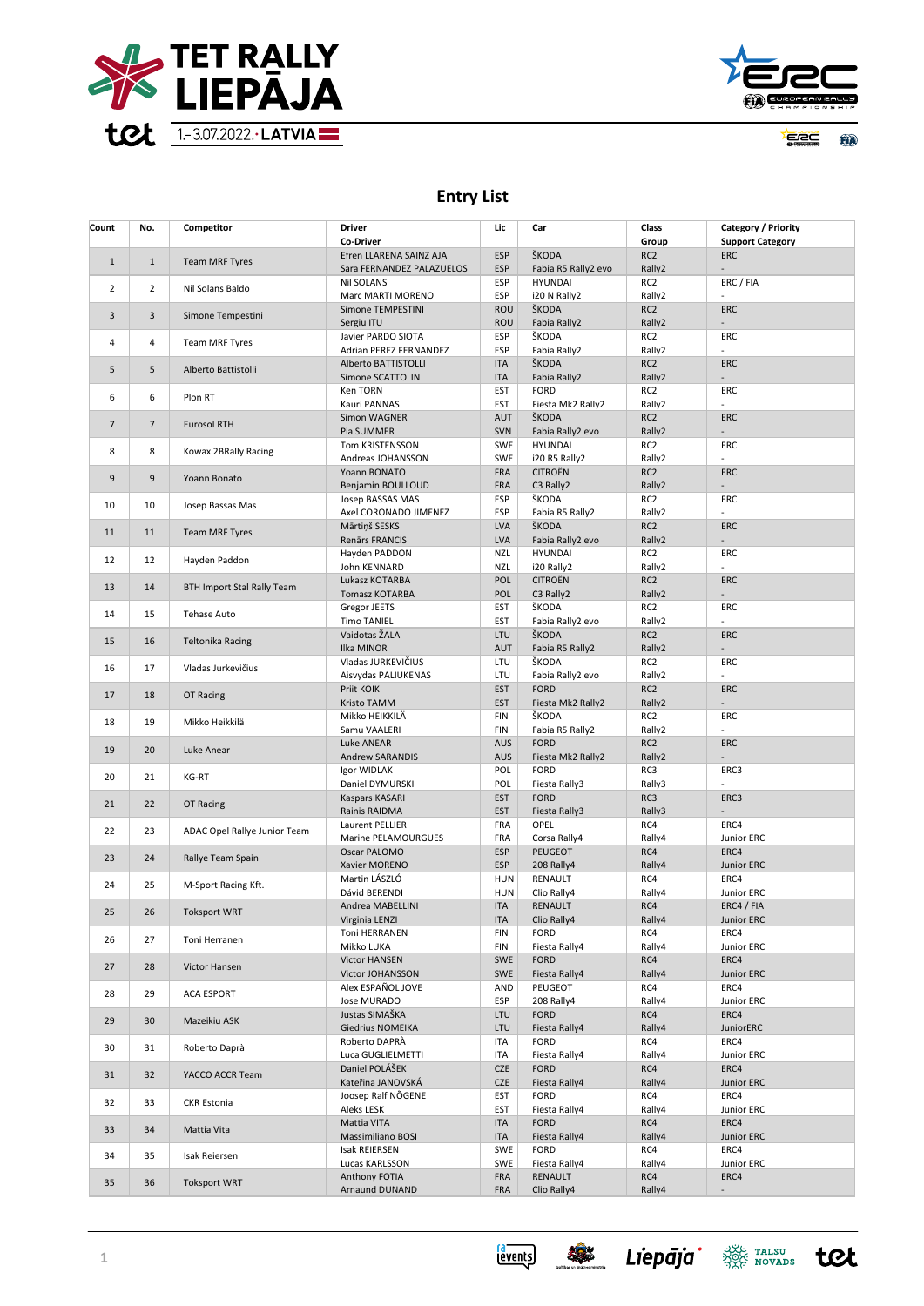



<u> Ye ee g</u> **EIA** 

## **Entry List**

| Count          | No.            | Competitor                        | Driver<br>Co-Driver                  | Lic                      | Car                             | Class<br>Group            | Category / Priority<br><b>Support Category</b> |
|----------------|----------------|-----------------------------------|--------------------------------------|--------------------------|---------------------------------|---------------------------|------------------------------------------------|
|                |                |                                   | Efren LLARENA SAINZ AJA              | <b>ESP</b>               | ŠKODA                           | RC <sub>2</sub>           | <b>ERC</b>                                     |
| $1\,$          | $\mathbf{1}$   | <b>Team MRF Tyres</b>             | Sara FERNANDEZ PALAZUELOS            | <b>ESP</b>               | Fabia R5 Rally2 evo             | Rally2                    | ÷.                                             |
| 2              | $\overline{2}$ | Nil Solans Baldo                  | <b>Nil SOLANS</b>                    | ESP                      | <b>HYUNDAI</b>                  | RC <sub>2</sub>           | ERC / FIA                                      |
|                |                |                                   | Marc MARTI MORENO                    | ESP                      | i20 N Rally2                    | Rally2                    | $\overline{a}$                                 |
| 3              | 3              | Simone Tempestini                 | Simone TEMPESTINI                    | ROU                      | ŠKODA                           | RC <sub>2</sub>           | <b>ERC</b>                                     |
|                |                |                                   | Sergiu ITU<br>Javier PARDO SIOTA     | <b>ROU</b><br><b>ESP</b> | Fabia Rally2<br>ŠKODA           | Rally2<br>RC <sub>2</sub> | ERC                                            |
| $\overline{4}$ | 4              | Team MRF Tyres                    | Adrian PEREZ FERNANDEZ               | ESP                      | Fabia Rally2                    | Rally2                    | L,                                             |
|                |                |                                   | Alberto BATTISTOLLI                  | <b>ITA</b>               | ŠKODA                           | RC <sub>2</sub>           | <b>ERC</b>                                     |
| 5              | 5              | Alberto Battistolli               | Simone SCATTOLIN                     | <b>ITA</b>               | Fabia Rally2                    | Rally2                    |                                                |
| 6              | 6              | Plon RT                           | Ken TORN                             | EST                      | <b>FORD</b>                     | RC <sub>2</sub>           | ERC                                            |
|                |                |                                   | Kauri PANNAS                         | EST                      | Fiesta Mk2 Rally2               | Rally2                    | ÷,                                             |
| $\overline{7}$ | $\overline{7}$ | <b>Eurosol RTH</b>                | Simon WAGNER                         | AUT                      | ŠKODA                           | RC <sub>2</sub>           | <b>ERC</b>                                     |
|                |                |                                   | Pia SUMMER                           | SVN                      | Fabia Rally2 evo                | Rally2                    | ÷.                                             |
| 8              | 8              | Kowax 2BRally Racing              | Tom KRISTENSSON<br>Andreas JOHANSSON | <b>SWE</b><br>SWE        | <b>HYUNDAI</b><br>i20 R5 Rally2 | RC <sub>2</sub><br>Rally2 | ERC                                            |
|                |                |                                   | Yoann BONATO                         | <b>FRA</b>               | <b>CITROËN</b>                  | RC <sub>2</sub>           | <b>ERC</b>                                     |
| 9              | 9              | Yoann Bonato                      | Benjamin BOULLOUD                    | FRA                      | C3 Rally2                       | Rally2                    |                                                |
|                |                |                                   | Josep BASSAS MAS                     | <b>ESP</b>               | ŠKODA                           | RC <sub>2</sub>           | ERC                                            |
| 10             | 10             | Josep Bassas Mas                  | Axel CORONADO JIMENEZ                | <b>ESP</b>               | Fabia R5 Rally2                 | Rally2                    |                                                |
| 11             | 11             | <b>Team MRF Tyres</b>             | Mārtiņš SESKS                        | <b>LVA</b>               | ŠKODA                           | RC <sub>2</sub>           | <b>ERC</b>                                     |
|                |                |                                   | Renārs FRANCIS                       | <b>LVA</b>               | Fabia Rally2 evo                | Rally2                    |                                                |
| 12             | 12             | Hayden Paddon                     | Hayden PADDON                        | <b>NZL</b>               | <b>HYUNDAI</b>                  | RC <sub>2</sub>           | ERC<br>$\overline{a}$                          |
|                |                |                                   | John KENNARD<br>Lukasz KOTARBA       | <b>NZL</b><br>POL        | i20 Rally2<br><b>CITROËN</b>    | Rally2<br>RC <sub>2</sub> | ERC                                            |
| 13             | 14             | <b>BTH Import Stal Rally Team</b> | Tomasz KOTARBA                       | POL                      | C3 Rally2                       | Rally2                    | ÷.                                             |
|                |                |                                   | Gregor JEETS                         | EST                      | ŠKODA                           | RC <sub>2</sub>           | ERC                                            |
| 14             | 15             | <b>Tehase Auto</b>                | <b>Timo TANIEL</b>                   | EST                      | Fabia Rally2 evo                | Rally2                    | ÷.                                             |
| 15             | 16             | <b>Teltonika Racing</b>           | Vaidotas ŽALA                        | LTU                      | ŠKODA                           | RC <sub>2</sub>           | ERC                                            |
|                |                |                                   | Ilka MINOR                           | AUT                      | Fabia R5 Rally2                 | Rally2                    |                                                |
| 16             | 17             | Vladas Jurkevičius                | Vladas JURKEVIČIUS                   | LTU                      | ŠKODA                           | RC <sub>2</sub>           | ERC                                            |
|                |                |                                   | Aisvydas PALIUKENAS<br>Priit KOIK    | LTU<br><b>EST</b>        | Fabia Rally2 evo<br><b>FORD</b> | Rally2<br>RC <sub>2</sub> | <b>ERC</b>                                     |
| 17             | 18             | OT Racing                         | Kristo TAMM                          | <b>EST</b>               | Fiesta Mk2 Rally2               | Rally2                    |                                                |
|                |                |                                   | Mikko HEIKKILÄ                       | <b>FIN</b>               | ŠKODA                           | RC <sub>2</sub>           | ERC                                            |
| 18             | 19             | Mikko Heikkilä                    | Samu VAALERI                         | <b>FIN</b>               | Fabia R5 Rally2                 | Rally2                    | $\overline{a}$                                 |
| 19             | 20             | Luke Anear                        | Luke ANEAR                           | <b>AUS</b>               | <b>FORD</b>                     | RC <sub>2</sub>           | <b>ERC</b>                                     |
|                |                |                                   | <b>Andrew SARANDIS</b>               | <b>AUS</b>               | Fiesta Mk2 Rally2               | Rally2                    | ÷.                                             |
| 20             | 21             | KG-RT                             | Igor WIDLAK                          | POL                      | <b>FORD</b>                     | RC3                       | ERC3                                           |
|                |                |                                   | Daniel DYMURSKI<br>Kaspars KASARI    | POL<br><b>EST</b>        | Fiesta Rally3<br><b>FORD</b>    | Rally3<br>RC3             | ERC3                                           |
| 21             | 22             | OT Racing                         | Rainis RAIDMA                        | <b>EST</b>               | Fiesta Rally3                   | Rally3                    | ۰                                              |
|                |                |                                   | Laurent PELLIER                      | FRA                      | OPEL                            | RC4                       | ERC4                                           |
| 22             | 23             | ADAC Opel Rallye Junior Team      | Marine PELAMOURGUES                  | FRA                      | Corsa Rally4                    | Rally4                    | Junior ERC                                     |
| 23             | 24             | Rallye Team Spain                 | Oscar PALOMO                         | <b>ESP</b>               | PEUGEOT                         | RC4                       | ERC4                                           |
|                |                |                                   | Xavier MORENO                        | <b>ESP</b>               | 208 Rally4                      | Rally4                    | Junior ERC                                     |
| 24             | 25             | M-Sport Racing Kft.               | Martin LÁSZLÓ                        | <b>HUN</b>               | RENAULT                         | RC4                       | ERC4                                           |
|                |                |                                   | Dávid BERENDI                        | <b>HUN</b>               | Clio Rally4                     | Rally4                    | Junior ERC                                     |
| 25             | 26             | <b>Toksport WRT</b>               | Andrea MABELLINI<br>Virginia LENZI   | <b>ITA</b><br><b>ITA</b> | RENAULT<br>Clio Rally4          | RC4<br>Rally4             | ERC4 / FIA<br>Junior ERC                       |
|                |                |                                   | Toni HERRANEN                        | FIN                      | <b>FORD</b>                     | RC4                       | ERC4                                           |
| 26             | 27             | Toni Herranen                     | Mikko LUKA                           | FIN                      | Fiesta Rally4                   | Rally4                    | Junior ERC                                     |
| 27             | 28             | Victor Hansen                     | <b>Victor HANSEN</b>                 | <b>SWE</b>               | <b>FORD</b>                     | RC4                       | ERC4                                           |
|                |                |                                   | Victor JOHANSSON                     | SWE                      | Fiesta Rally4                   | Rally4                    | Junior ERC                                     |
| 28             | 29             | <b>ACA ESPORT</b>                 | Alex ESPAÑOL JOVE                    | AND                      | PEUGEOT                         | RC4                       | ERC4                                           |
|                |                |                                   | Jose MURADO                          | <b>ESP</b>               | 208 Rally4                      | Rally4                    | Junior ERC                                     |
| 29             | 30             | Mazeikiu ASK                      | Justas SIMAŠKA<br>Giedrius NOMEIKA   | LTU<br>LTU               | <b>FORD</b><br>Fiesta Rally4    | RC4<br>Rally4             | ERC4<br>JuniorERC                              |
|                |                |                                   | Roberto DAPRÀ                        | ITA                      | <b>FORD</b>                     | RC4                       | ERC4                                           |
| 30             | 31             | Roberto Daprà                     | Luca GUGLIELMETTI                    | <b>ITA</b>               | Fiesta Rally4                   | Rally4                    | Junior ERC                                     |
|                |                | YACCO ACCR Team                   | Daniel POLÁŠEK                       | <b>CZE</b>               | <b>FORD</b>                     | RC4                       | ERC4                                           |
| 31             | 32             |                                   | Kateřina JANOVSKÁ                    | <b>CZE</b>               | Fiesta Rally4                   | Rally4                    | Junior ERC                                     |
| 32             | 33             | <b>CKR Estonia</b>                | Joosep Ralf NOGENE                   | EST                      | <b>FORD</b>                     | RC4                       | ERC4                                           |
|                |                |                                   | Aleks LESK                           | EST                      | Fiesta Rally4                   | Rally4                    | Junior ERC                                     |
| 33             | 34             | Mattia Vita                       | Mattia VITA                          | <b>ITA</b>               | <b>FORD</b>                     | RC4                       | ERC4                                           |
|                |                |                                   | Massimiliano BOSI<br>Isak REIERSEN   | <b>ITA</b><br>SWE        | Fiesta Rally4<br><b>FORD</b>    | Rally4<br>RC4             | Junior ERC<br>ERC4                             |
| 34             | 35             | Isak Reiersen                     | Lucas KARLSSON                       | SWE                      | Fiesta Rally4                   | Rally4                    | Junior ERC                                     |
|                | 36             | <b>Toksport WRT</b>               | Anthony FOTIA                        | <b>FRA</b>               | <b>RENAULT</b>                  | RC4                       | ERC4                                           |
| 35             |                |                                   | Arnaund DUNAND                       | FRA                      | Clio Rally4                     | Rally4                    |                                                |